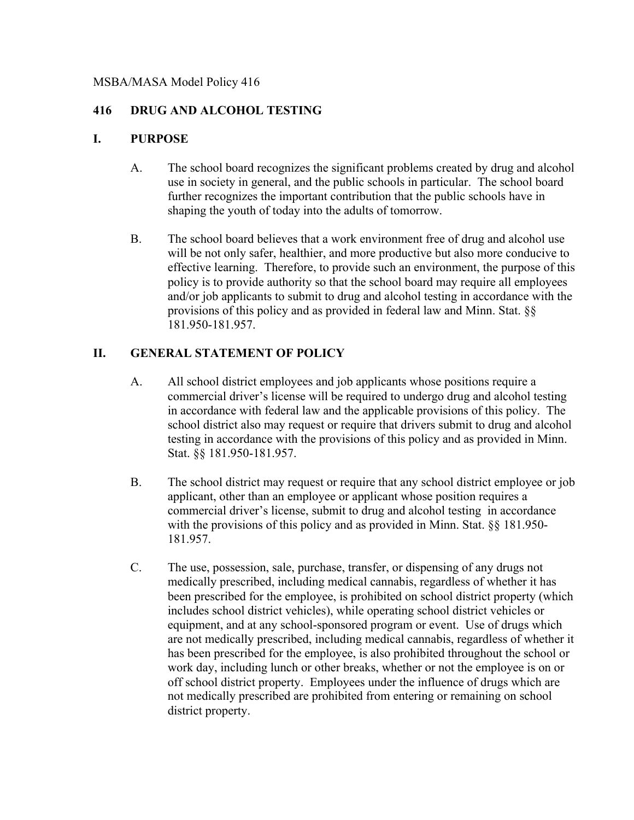#### MSBA/MASA Model Policy 416

#### **416 DRUG AND ALCOHOL TESTING**

#### **I. PURPOSE**

- A. The school board recognizes the significant problems created by drug and alcohol use in society in general, and the public schools in particular. The school board further recognizes the important contribution that the public schools have in shaping the youth of today into the adults of tomorrow.
- B. The school board believes that a work environment free of drug and alcohol use will be not only safer, healthier, and more productive but also more conducive to effective learning. Therefore, to provide such an environment, the purpose of this policy is to provide authority so that the school board may require all employees and/or job applicants to submit to drug and alcohol testing in accordance with the provisions of this policy and as provided in federal law and Minn. Stat. §§ 181.950-181.957.

#### **II. GENERAL STATEMENT OF POLICY**

- A. All school district employees and job applicants whose positions require a commercial driver's license will be required to undergo drug and alcohol testing in accordance with federal law and the applicable provisions of this policy. The school district also may request or require that drivers submit to drug and alcohol testing in accordance with the provisions of this policy and as provided in Minn. Stat. §§ 181.950-181.957.
- B. The school district may request or require that any school district employee or job applicant, other than an employee or applicant whose position requires a commercial driver's license, submit to drug and alcohol testing in accordance with the provisions of this policy and as provided in Minn. Stat.  $\S$ § 181.950-181.957.
- C. The use, possession, sale, purchase, transfer, or dispensing of any drugs not medically prescribed, including medical cannabis, regardless of whether it has been prescribed for the employee, is prohibited on school district property (which includes school district vehicles), while operating school district vehicles or equipment, and at any school-sponsored program or event. Use of drugs which are not medically prescribed, including medical cannabis, regardless of whether it has been prescribed for the employee, is also prohibited throughout the school or work day, including lunch or other breaks, whether or not the employee is on or off school district property. Employees under the influence of drugs which are not medically prescribed are prohibited from entering or remaining on school district property.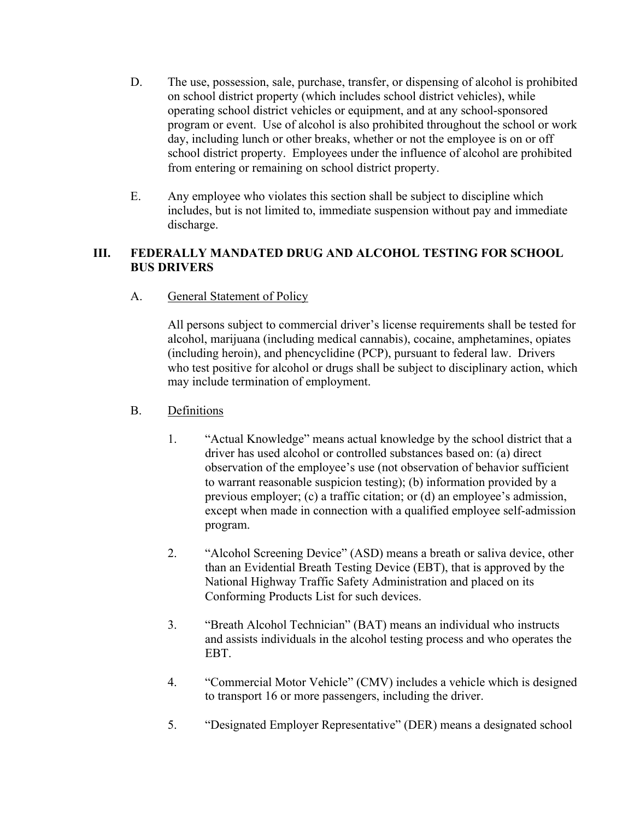- D. The use, possession, sale, purchase, transfer, or dispensing of alcohol is prohibited on school district property (which includes school district vehicles), while operating school district vehicles or equipment, and at any school-sponsored program or event. Use of alcohol is also prohibited throughout the school or work day, including lunch or other breaks, whether or not the employee is on or off school district property. Employees under the influence of alcohol are prohibited from entering or remaining on school district property.
- E. Any employee who violates this section shall be subject to discipline which includes, but is not limited to, immediate suspension without pay and immediate discharge.

### **III. FEDERALLY MANDATED DRUG AND ALCOHOL TESTING FOR SCHOOL BUS DRIVERS**

A. General Statement of Policy

All persons subject to commercial driver's license requirements shall be tested for alcohol, marijuana (including medical cannabis), cocaine, amphetamines, opiates (including heroin), and phencyclidine (PCP), pursuant to federal law. Drivers who test positive for alcohol or drugs shall be subject to disciplinary action, which may include termination of employment.

### B. Definitions

- 1. "Actual Knowledge" means actual knowledge by the school district that a driver has used alcohol or controlled substances based on: (a) direct observation of the employee's use (not observation of behavior sufficient to warrant reasonable suspicion testing); (b) information provided by a previous employer; (c) a traffic citation; or (d) an employee's admission, except when made in connection with a qualified employee self-admission program.
- 2. "Alcohol Screening Device" (ASD) means a breath or saliva device, other than an Evidential Breath Testing Device (EBT), that is approved by the National Highway Traffic Safety Administration and placed on its Conforming Products List for such devices.
- 3. "Breath Alcohol Technician" (BAT) means an individual who instructs and assists individuals in the alcohol testing process and who operates the EBT.
- 4. "Commercial Motor Vehicle" (CMV) includes a vehicle which is designed to transport 16 or more passengers, including the driver.
- 5. "Designated Employer Representative" (DER) means a designated school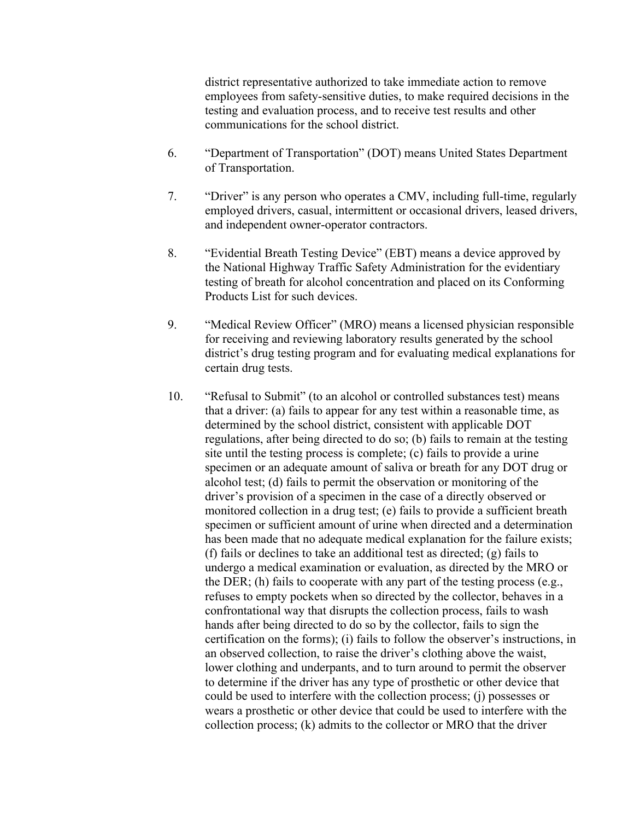district representative authorized to take immediate action to remove employees from safety-sensitive duties, to make required decisions in the testing and evaluation process, and to receive test results and other communications for the school district.

- 6. "Department of Transportation" (DOT) means United States Department of Transportation.
- 7. "Driver" is any person who operates a CMV, including full-time, regularly employed drivers, casual, intermittent or occasional drivers, leased drivers, and independent owner-operator contractors.
- 8. "Evidential Breath Testing Device" (EBT) means a device approved by the National Highway Traffic Safety Administration for the evidentiary testing of breath for alcohol concentration and placed on its Conforming Products List for such devices.
- 9. "Medical Review Officer" (MRO) means a licensed physician responsible for receiving and reviewing laboratory results generated by the school district's drug testing program and for evaluating medical explanations for certain drug tests.
- 10. "Refusal to Submit" (to an alcohol or controlled substances test) means that a driver: (a) fails to appear for any test within a reasonable time, as determined by the school district, consistent with applicable DOT regulations, after being directed to do so; (b) fails to remain at the testing site until the testing process is complete; (c) fails to provide a urine specimen or an adequate amount of saliva or breath for any DOT drug or alcohol test; (d) fails to permit the observation or monitoring of the driver's provision of a specimen in the case of a directly observed or monitored collection in a drug test; (e) fails to provide a sufficient breath specimen or sufficient amount of urine when directed and a determination has been made that no adequate medical explanation for the failure exists; (f) fails or declines to take an additional test as directed; (g) fails to undergo a medical examination or evaluation, as directed by the MRO or the DER; (h) fails to cooperate with any part of the testing process (e.g., refuses to empty pockets when so directed by the collector, behaves in a confrontational way that disrupts the collection process, fails to wash hands after being directed to do so by the collector, fails to sign the certification on the forms); (i) fails to follow the observer's instructions, in an observed collection, to raise the driver's clothing above the waist, lower clothing and underpants, and to turn around to permit the observer to determine if the driver has any type of prosthetic or other device that could be used to interfere with the collection process; (j) possesses or wears a prosthetic or other device that could be used to interfere with the collection process; (k) admits to the collector or MRO that the driver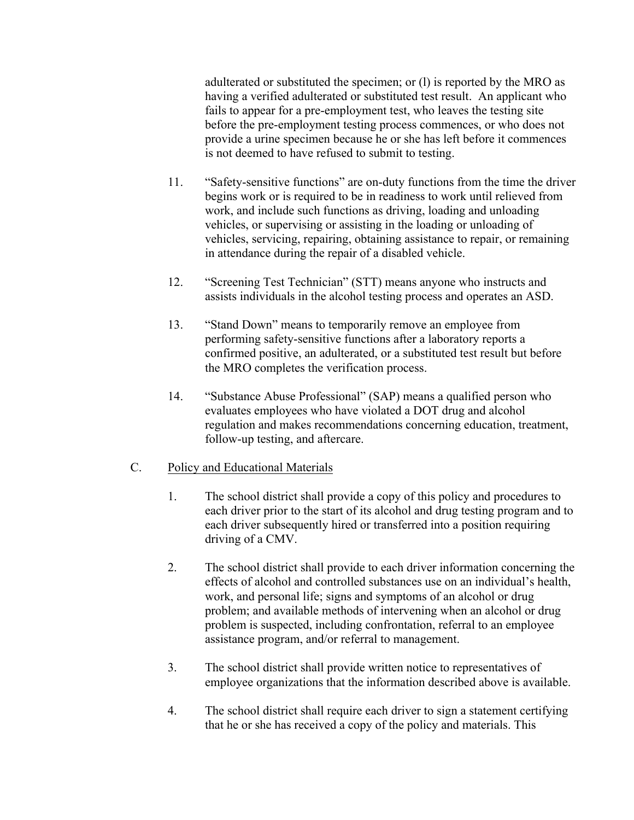adulterated or substituted the specimen; or (l) is reported by the MRO as having a verified adulterated or substituted test result. An applicant who fails to appear for a pre-employment test, who leaves the testing site before the pre-employment testing process commences, or who does not provide a urine specimen because he or she has left before it commences is not deemed to have refused to submit to testing.

- 11. "Safety-sensitive functions" are on-duty functions from the time the driver begins work or is required to be in readiness to work until relieved from work, and include such functions as driving, loading and unloading vehicles, or supervising or assisting in the loading or unloading of vehicles, servicing, repairing, obtaining assistance to repair, or remaining in attendance during the repair of a disabled vehicle.
- 12. "Screening Test Technician" (STT) means anyone who instructs and assists individuals in the alcohol testing process and operates an ASD.
- 13. "Stand Down" means to temporarily remove an employee from performing safety-sensitive functions after a laboratory reports a confirmed positive, an adulterated, or a substituted test result but before the MRO completes the verification process.
- 14. "Substance Abuse Professional" (SAP) means a qualified person who evaluates employees who have violated a DOT drug and alcohol regulation and makes recommendations concerning education, treatment, follow-up testing, and aftercare.

#### C. Policy and Educational Materials

- 1. The school district shall provide a copy of this policy and procedures to each driver prior to the start of its alcohol and drug testing program and to each driver subsequently hired or transferred into a position requiring driving of a CMV.
- 2. The school district shall provide to each driver information concerning the effects of alcohol and controlled substances use on an individual's health, work, and personal life; signs and symptoms of an alcohol or drug problem; and available methods of intervening when an alcohol or drug problem is suspected, including confrontation, referral to an employee assistance program, and/or referral to management.
- 3. The school district shall provide written notice to representatives of employee organizations that the information described above is available.
- 4. The school district shall require each driver to sign a statement certifying that he or she has received a copy of the policy and materials. This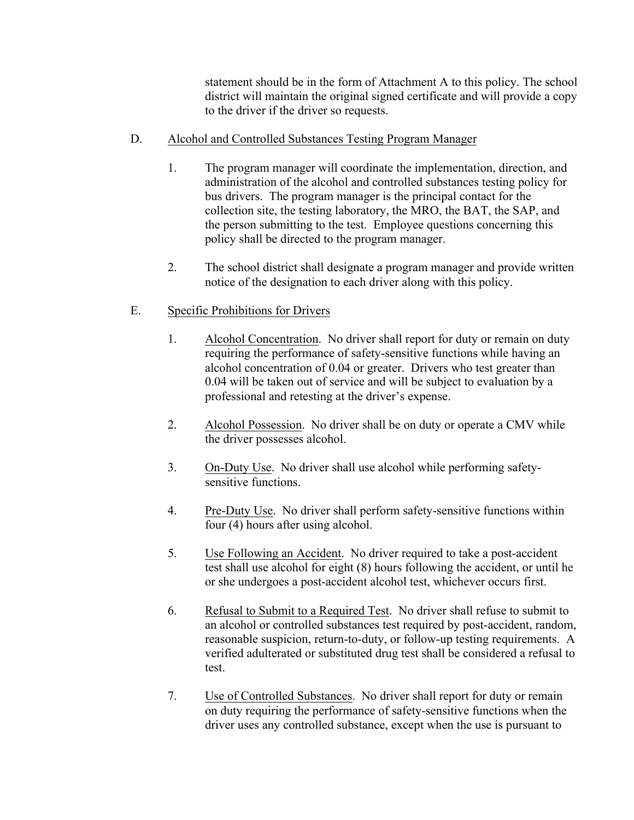statement should be in the form of Attachment A to this policy. The school district will maintain the original signed certificate and will provide a copy to the driver if the driver so requests.

- D. Alcohol and Controlled Substances Testing Program Manager
	- 1. The program manager will coordinate the implementation, direction, and administration of the alcohol and controlled substances testing policy for bus drivers. The program manager is the principal contact for the collection site, the testing laboratory, the MRO, the BAT, the SAP, and the person submitting to the test. Employee questions concerning this policy shall be directed to the program manager.
	- 2. The school district shall designate a program manager and provide written notice of the designation to each driver along with this policy.

# E. Specific Prohibitions for Drivers

- 1. Alcohol Concentration. No driver shall report for duty or remain on duty requiring the performance of safety-sensitive functions while having an alcohol concentration of 0.04 or greater. Drivers who test greater than 0.04 will be taken out of service and will be subject to evaluation by a professional and retesting at the driver's expense.
- 2. Alcohol Possession. No driver shall be on duty or operate a CMV while the driver possesses alcohol.
- 3. On-Duty Use. No driver shall use alcohol while performing safetysensitive functions.
- 4. Pre-Duty Use. No driver shall perform safety-sensitive functions within four (4) hours after using alcohol.
- 5. Use Following an Accident. No driver required to take a post-accident test shall use alcohol for eight (8) hours following the accident, or until he or she undergoes a post-accident alcohol test, whichever occurs first.
- 6. Refusal to Submit to a Required Test. No driver shall refuse to submit to an alcohol or controlled substances test required by post-accident, random, reasonable suspicion, return-to-duty, or follow-up testing requirements. A verified adulterated or substituted drug test shall be considered a refusal to test.
- 7. Use of Controlled Substances. No driver shall report for duty or remain on duty requiring the performance of safety-sensitive functions when the driver uses any controlled substance, except when the use is pursuant to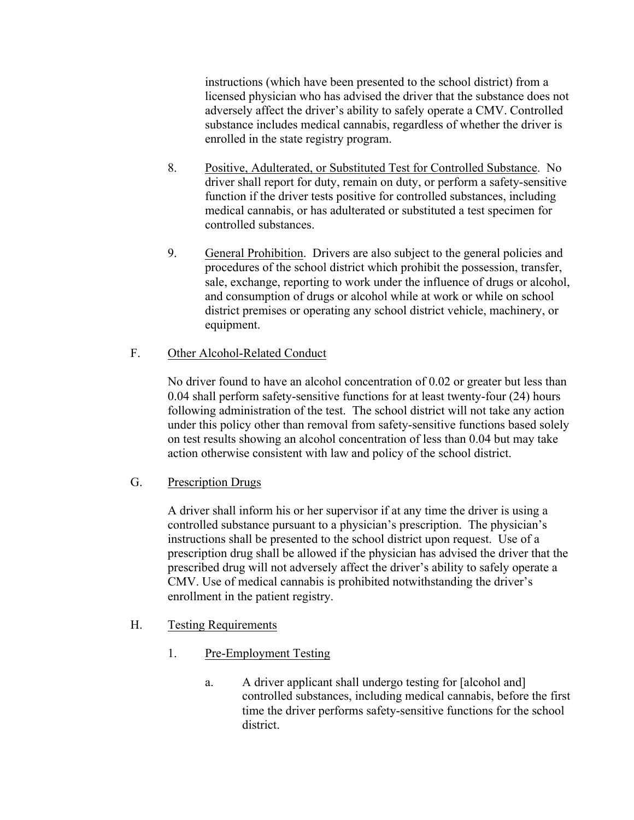instructions (which have been presented to the school district) from a licensed physician who has advised the driver that the substance does not adversely affect the driver's ability to safely operate a CMV. Controlled substance includes medical cannabis, regardless of whether the driver is enrolled in the state registry program.

- 8. Positive, Adulterated, or Substituted Test for Controlled Substance. No driver shall report for duty, remain on duty, or perform a safety-sensitive function if the driver tests positive for controlled substances, including medical cannabis, or has adulterated or substituted a test specimen for controlled substances.
- 9. General Prohibition. Drivers are also subject to the general policies and procedures of the school district which prohibit the possession, transfer, sale, exchange, reporting to work under the influence of drugs or alcohol, and consumption of drugs or alcohol while at work or while on school district premises or operating any school district vehicle, machinery, or equipment.

## F. Other Alcohol-Related Conduct

No driver found to have an alcohol concentration of 0.02 or greater but less than 0.04 shall perform safety-sensitive functions for at least twenty-four (24) hours following administration of the test. The school district will not take any action under this policy other than removal from safety-sensitive functions based solely on test results showing an alcohol concentration of less than 0.04 but may take action otherwise consistent with law and policy of the school district.

#### G. Prescription Drugs

A driver shall inform his or her supervisor if at any time the driver is using a controlled substance pursuant to a physician's prescription. The physician's instructions shall be presented to the school district upon request. Use of a prescription drug shall be allowed if the physician has advised the driver that the prescribed drug will not adversely affect the driver's ability to safely operate a CMV. Use of medical cannabis is prohibited notwithstanding the driver's enrollment in the patient registry.

#### H. Testing Requirements

- 1. Pre-Employment Testing
	- a. A driver applicant shall undergo testing for [alcohol and] controlled substances, including medical cannabis, before the first time the driver performs safety-sensitive functions for the school district.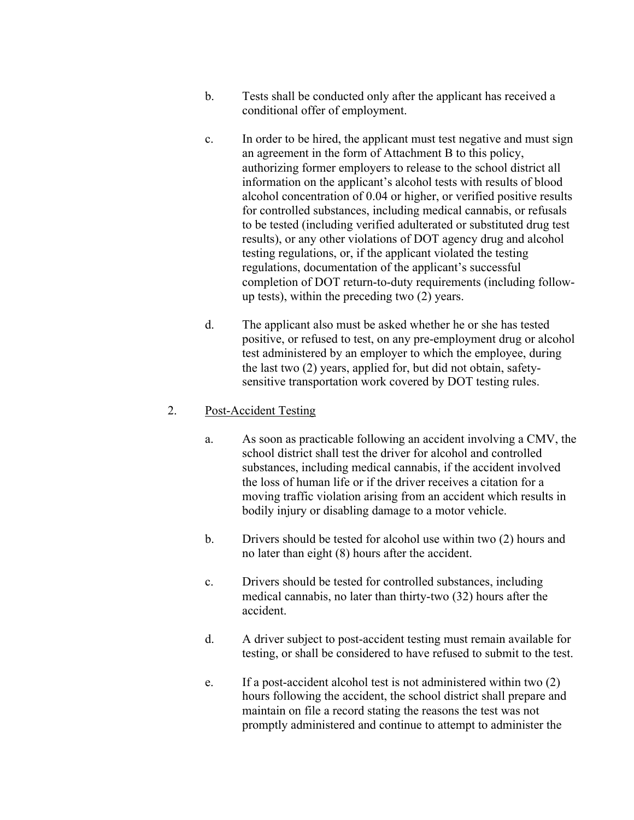- b. Tests shall be conducted only after the applicant has received a conditional offer of employment.
- c. In order to be hired, the applicant must test negative and must sign an agreement in the form of Attachment B to this policy, authorizing former employers to release to the school district all information on the applicant's alcohol tests with results of blood alcohol concentration of 0.04 or higher, or verified positive results for controlled substances, including medical cannabis, or refusals to be tested (including verified adulterated or substituted drug test results), or any other violations of DOT agency drug and alcohol testing regulations, or, if the applicant violated the testing regulations, documentation of the applicant's successful completion of DOT return-to-duty requirements (including followup tests), within the preceding two (2) years.
- d. The applicant also must be asked whether he or she has tested positive, or refused to test, on any pre-employment drug or alcohol test administered by an employer to which the employee, during the last two (2) years, applied for, but did not obtain, safetysensitive transportation work covered by DOT testing rules.

## 2. Post-Accident Testing

- a. As soon as practicable following an accident involving a CMV, the school district shall test the driver for alcohol and controlled substances, including medical cannabis, if the accident involved the loss of human life or if the driver receives a citation for a moving traffic violation arising from an accident which results in bodily injury or disabling damage to a motor vehicle.
- b. Drivers should be tested for alcohol use within two (2) hours and no later than eight (8) hours after the accident.
- c. Drivers should be tested for controlled substances, including medical cannabis, no later than thirty-two (32) hours after the accident.
- d. A driver subject to post-accident testing must remain available for testing, or shall be considered to have refused to submit to the test.
- e. If a post-accident alcohol test is not administered within two (2) hours following the accident, the school district shall prepare and maintain on file a record stating the reasons the test was not promptly administered and continue to attempt to administer the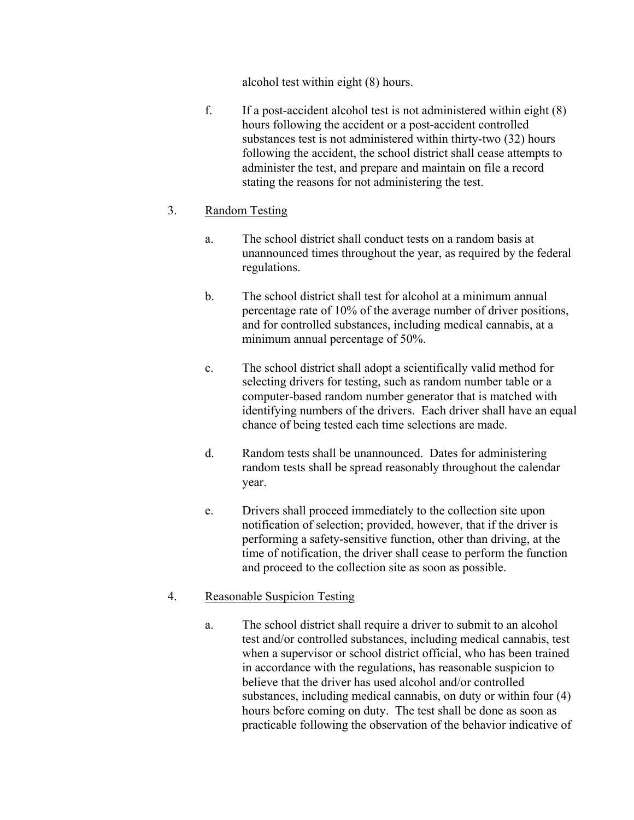alcohol test within eight (8) hours.

f. If a post-accident alcohol test is not administered within eight (8) hours following the accident or a post-accident controlled substances test is not administered within thirty-two (32) hours following the accident, the school district shall cease attempts to administer the test, and prepare and maintain on file a record stating the reasons for not administering the test.

## 3. Random Testing

- a. The school district shall conduct tests on a random basis at unannounced times throughout the year, as required by the federal regulations.
- b. The school district shall test for alcohol at a minimum annual percentage rate of 10% of the average number of driver positions, and for controlled substances, including medical cannabis, at a minimum annual percentage of 50%.
- c. The school district shall adopt a scientifically valid method for selecting drivers for testing, such as random number table or a computer-based random number generator that is matched with identifying numbers of the drivers. Each driver shall have an equal chance of being tested each time selections are made.
- d. Random tests shall be unannounced. Dates for administering random tests shall be spread reasonably throughout the calendar year.
- e. Drivers shall proceed immediately to the collection site upon notification of selection; provided, however, that if the driver is performing a safety-sensitive function, other than driving, at the time of notification, the driver shall cease to perform the function and proceed to the collection site as soon as possible.

#### 4. Reasonable Suspicion Testing

a. The school district shall require a driver to submit to an alcohol test and/or controlled substances, including medical cannabis, test when a supervisor or school district official, who has been trained in accordance with the regulations, has reasonable suspicion to believe that the driver has used alcohol and/or controlled substances, including medical cannabis, on duty or within four (4) hours before coming on duty. The test shall be done as soon as practicable following the observation of the behavior indicative of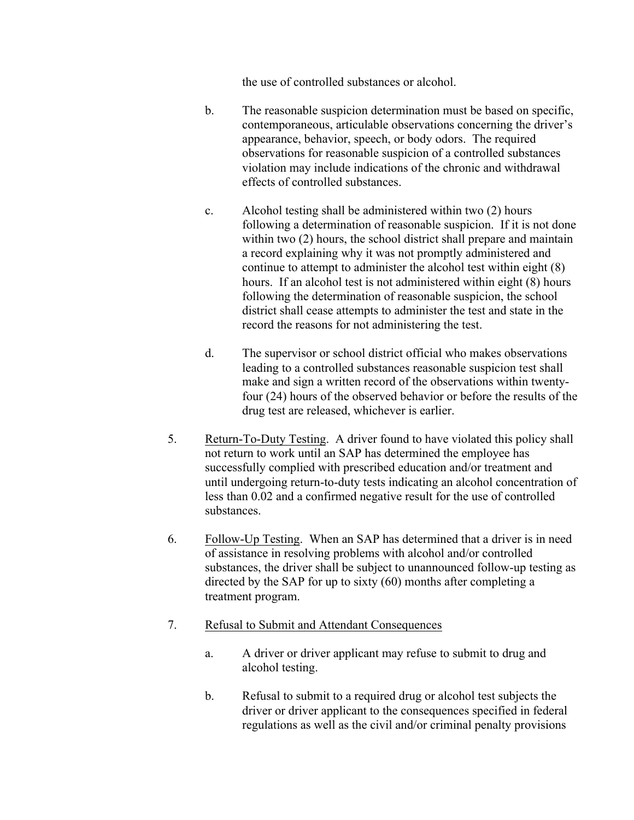the use of controlled substances or alcohol.

- b. The reasonable suspicion determination must be based on specific, contemporaneous, articulable observations concerning the driver's appearance, behavior, speech, or body odors. The required observations for reasonable suspicion of a controlled substances violation may include indications of the chronic and withdrawal effects of controlled substances.
- c. Alcohol testing shall be administered within two (2) hours following a determination of reasonable suspicion. If it is not done within two (2) hours, the school district shall prepare and maintain a record explaining why it was not promptly administered and continue to attempt to administer the alcohol test within eight (8) hours. If an alcohol test is not administered within eight (8) hours following the determination of reasonable suspicion, the school district shall cease attempts to administer the test and state in the record the reasons for not administering the test.
- d. The supervisor or school district official who makes observations leading to a controlled substances reasonable suspicion test shall make and sign a written record of the observations within twentyfour (24) hours of the observed behavior or before the results of the drug test are released, whichever is earlier.
- 5. Return-To-Duty Testing. A driver found to have violated this policy shall not return to work until an SAP has determined the employee has successfully complied with prescribed education and/or treatment and until undergoing return-to-duty tests indicating an alcohol concentration of less than 0.02 and a confirmed negative result for the use of controlled substances.
- 6. Follow-Up Testing. When an SAP has determined that a driver is in need of assistance in resolving problems with alcohol and/or controlled substances, the driver shall be subject to unannounced follow-up testing as directed by the SAP for up to sixty (60) months after completing a treatment program.
- 7. Refusal to Submit and Attendant Consequences
	- a. A driver or driver applicant may refuse to submit to drug and alcohol testing.
	- b. Refusal to submit to a required drug or alcohol test subjects the driver or driver applicant to the consequences specified in federal regulations as well as the civil and/or criminal penalty provisions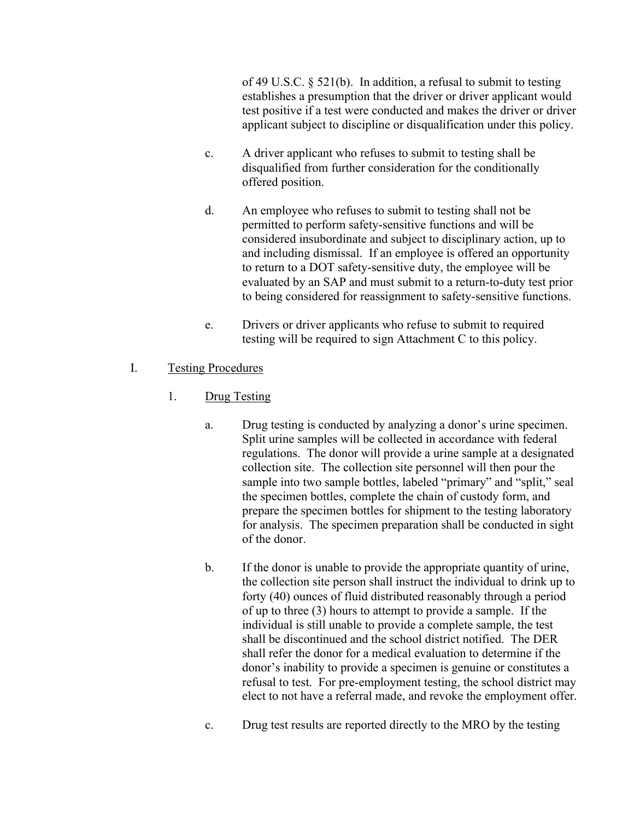of 49 U.S.C. § 521(b). In addition, a refusal to submit to testing establishes a presumption that the driver or driver applicant would test positive if a test were conducted and makes the driver or driver applicant subject to discipline or disqualification under this policy.

- c. A driver applicant who refuses to submit to testing shall be disqualified from further consideration for the conditionally offered position.
- d. An employee who refuses to submit to testing shall not be permitted to perform safety-sensitive functions and will be considered insubordinate and subject to disciplinary action, up to and including dismissal. If an employee is offered an opportunity to return to a DOT safety-sensitive duty, the employee will be evaluated by an SAP and must submit to a return-to-duty test prior to being considered for reassignment to safety-sensitive functions.
- e. Drivers or driver applicants who refuse to submit to required testing will be required to sign Attachment C to this policy.

#### I. Testing Procedures

## 1. Drug Testing

- a. Drug testing is conducted by analyzing a donor's urine specimen. Split urine samples will be collected in accordance with federal regulations. The donor will provide a urine sample at a designated collection site. The collection site personnel will then pour the sample into two sample bottles, labeled "primary" and "split," seal the specimen bottles, complete the chain of custody form, and prepare the specimen bottles for shipment to the testing laboratory for analysis. The specimen preparation shall be conducted in sight of the donor.
- b. If the donor is unable to provide the appropriate quantity of urine, the collection site person shall instruct the individual to drink up to forty (40) ounces of fluid distributed reasonably through a period of up to three (3) hours to attempt to provide a sample. If the individual is still unable to provide a complete sample, the test shall be discontinued and the school district notified. The DER shall refer the donor for a medical evaluation to determine if the donor's inability to provide a specimen is genuine or constitutes a refusal to test. For pre-employment testing, the school district may elect to not have a referral made, and revoke the employment offer.
- c. Drug test results are reported directly to the MRO by the testing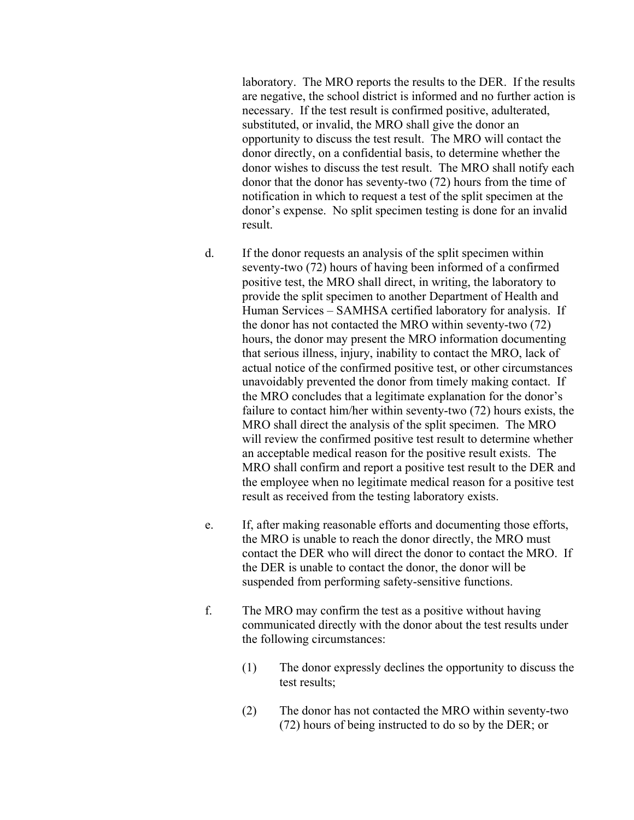laboratory. The MRO reports the results to the DER. If the results are negative, the school district is informed and no further action is necessary. If the test result is confirmed positive, adulterated, substituted, or invalid, the MRO shall give the donor an opportunity to discuss the test result. The MRO will contact the donor directly, on a confidential basis, to determine whether the donor wishes to discuss the test result. The MRO shall notify each donor that the donor has seventy-two (72) hours from the time of notification in which to request a test of the split specimen at the donor's expense. No split specimen testing is done for an invalid result.

- d. If the donor requests an analysis of the split specimen within seventy-two (72) hours of having been informed of a confirmed positive test, the MRO shall direct, in writing, the laboratory to provide the split specimen to another Department of Health and Human Services – SAMHSA certified laboratory for analysis. If the donor has not contacted the MRO within seventy-two (72) hours, the donor may present the MRO information documenting that serious illness, injury, inability to contact the MRO, lack of actual notice of the confirmed positive test, or other circumstances unavoidably prevented the donor from timely making contact. If the MRO concludes that a legitimate explanation for the donor's failure to contact him/her within seventy-two (72) hours exists, the MRO shall direct the analysis of the split specimen. The MRO will review the confirmed positive test result to determine whether an acceptable medical reason for the positive result exists. The MRO shall confirm and report a positive test result to the DER and the employee when no legitimate medical reason for a positive test result as received from the testing laboratory exists.
- e. If, after making reasonable efforts and documenting those efforts, the MRO is unable to reach the donor directly, the MRO must contact the DER who will direct the donor to contact the MRO. If the DER is unable to contact the donor, the donor will be suspended from performing safety-sensitive functions.
- f. The MRO may confirm the test as a positive without having communicated directly with the donor about the test results under the following circumstances:
	- (1) The donor expressly declines the opportunity to discuss the test results;
	- (2) The donor has not contacted the MRO within seventy-two (72) hours of being instructed to do so by the DER; or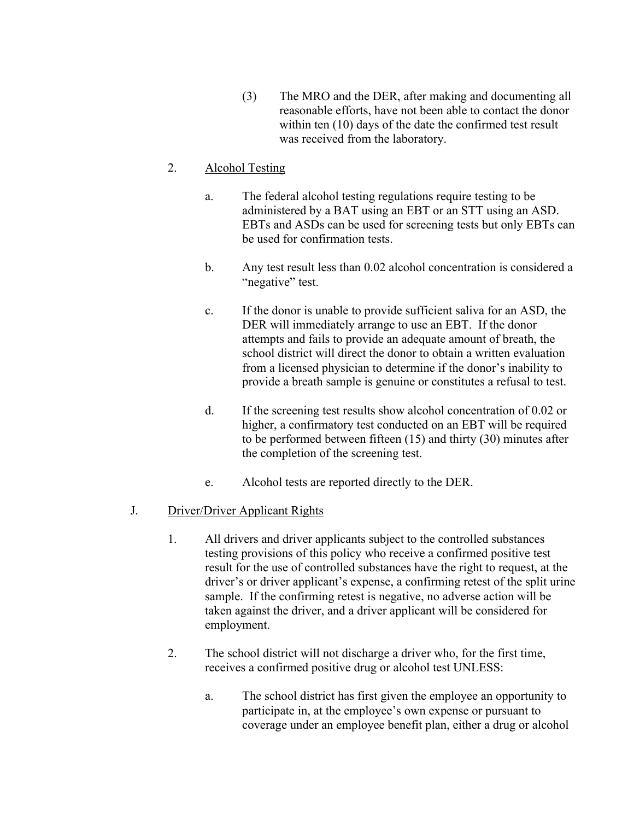(3) The MRO and the DER, after making and documenting all reasonable efforts, have not been able to contact the donor within ten (10) days of the date the confirmed test result was received from the laboratory.

## 2. Alcohol Testing

- a. The federal alcohol testing regulations require testing to be administered by a BAT using an EBT or an STT using an ASD. EBTs and ASDs can be used for screening tests but only EBTs can be used for confirmation tests.
- b. Any test result less than 0.02 alcohol concentration is considered a "negative" test.
- c. If the donor is unable to provide sufficient saliva for an ASD, the DER will immediately arrange to use an EBT. If the donor attempts and fails to provide an adequate amount of breath, the school district will direct the donor to obtain a written evaluation from a licensed physician to determine if the donor's inability to provide a breath sample is genuine or constitutes a refusal to test.
- d. If the screening test results show alcohol concentration of 0.02 or higher, a confirmatory test conducted on an EBT will be required to be performed between fifteen (15) and thirty (30) minutes after the completion of the screening test.
- e. Alcohol tests are reported directly to the DER.

## J. Driver/Driver Applicant Rights

- 1. All drivers and driver applicants subject to the controlled substances testing provisions of this policy who receive a confirmed positive test result for the use of controlled substances have the right to request, at the driver's or driver applicant's expense, a confirming retest of the split urine sample. If the confirming retest is negative, no adverse action will be taken against the driver, and a driver applicant will be considered for employment.
- 2. The school district will not discharge a driver who, for the first time, receives a confirmed positive drug or alcohol test UNLESS:
	- a. The school district has first given the employee an opportunity to participate in, at the employee's own expense or pursuant to coverage under an employee benefit plan, either a drug or alcohol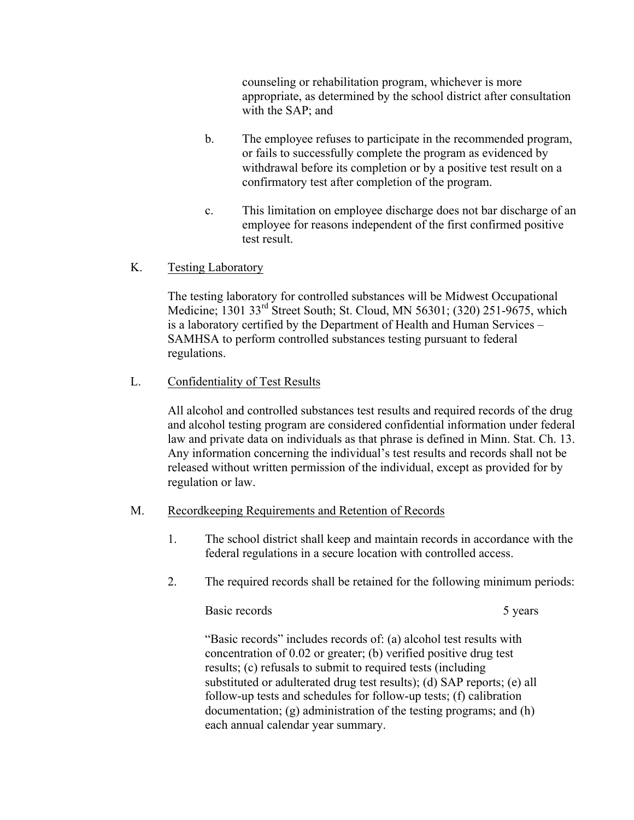counseling or rehabilitation program, whichever is more appropriate, as determined by the school district after consultation with the SAP; and

- b. The employee refuses to participate in the recommended program, or fails to successfully complete the program as evidenced by withdrawal before its completion or by a positive test result on a confirmatory test after completion of the program.
- c. This limitation on employee discharge does not bar discharge of an employee for reasons independent of the first confirmed positive test result.
- K. Testing Laboratory

The testing laboratory for controlled substances will be Midwest Occupational Medicine; 1301 33rd Street South; St. Cloud, MN 56301; (320) 251-9675, which is a laboratory certified by the Department of Health and Human Services – SAMHSA to perform controlled substances testing pursuant to federal regulations.

L. Confidentiality of Test Results

All alcohol and controlled substances test results and required records of the drug and alcohol testing program are considered confidential information under federal law and private data on individuals as that phrase is defined in Minn. Stat. Ch. 13. Any information concerning the individual's test results and records shall not be released without written permission of the individual, except as provided for by regulation or law.

- M. Recordkeeping Requirements and Retention of Records
	- 1. The school district shall keep and maintain records in accordance with the federal regulations in a secure location with controlled access.
	- 2. The required records shall be retained for the following minimum periods:

Basic records 5 years 5 years

"Basic records" includes records of: (a) alcohol test results with concentration of 0.02 or greater; (b) verified positive drug test results; (c) refusals to submit to required tests (including substituted or adulterated drug test results); (d) SAP reports; (e) all follow-up tests and schedules for follow-up tests; (f) calibration documentation; (g) administration of the testing programs; and (h) each annual calendar year summary.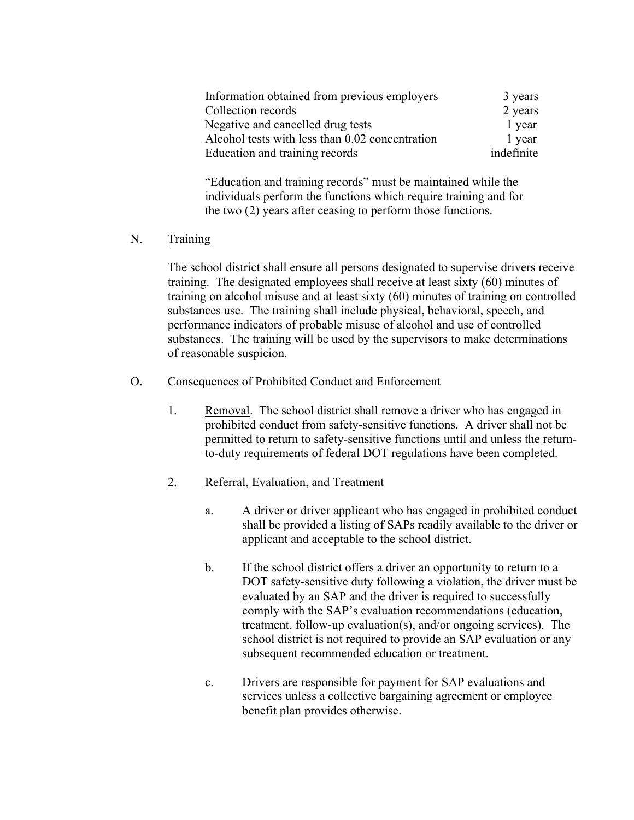| Information obtained from previous employers    | 3 years    |
|-------------------------------------------------|------------|
| Collection records                              | 2 years    |
| Negative and cancelled drug tests               | 1 year     |
| Alcohol tests with less than 0.02 concentration | 1 year     |
| Education and training records                  | indefinite |

"Education and training records" must be maintained while the individuals perform the functions which require training and for the two (2) years after ceasing to perform those functions.

#### N. Training

The school district shall ensure all persons designated to supervise drivers receive training. The designated employees shall receive at least sixty (60) minutes of training on alcohol misuse and at least sixty (60) minutes of training on controlled substances use. The training shall include physical, behavioral, speech, and performance indicators of probable misuse of alcohol and use of controlled substances. The training will be used by the supervisors to make determinations of reasonable suspicion.

#### O. Consequences of Prohibited Conduct and Enforcement

1. Removal. The school district shall remove a driver who has engaged in prohibited conduct from safety-sensitive functions. A driver shall not be permitted to return to safety-sensitive functions until and unless the returnto-duty requirements of federal DOT regulations have been completed.

#### 2. Referral, Evaluation, and Treatment

- a. A driver or driver applicant who has engaged in prohibited conduct shall be provided a listing of SAPs readily available to the driver or applicant and acceptable to the school district.
- b. If the school district offers a driver an opportunity to return to a DOT safety-sensitive duty following a violation, the driver must be evaluated by an SAP and the driver is required to successfully comply with the SAP's evaluation recommendations (education, treatment, follow-up evaluation(s), and/or ongoing services). The school district is not required to provide an SAP evaluation or any subsequent recommended education or treatment.
- c. Drivers are responsible for payment for SAP evaluations and services unless a collective bargaining agreement or employee benefit plan provides otherwise.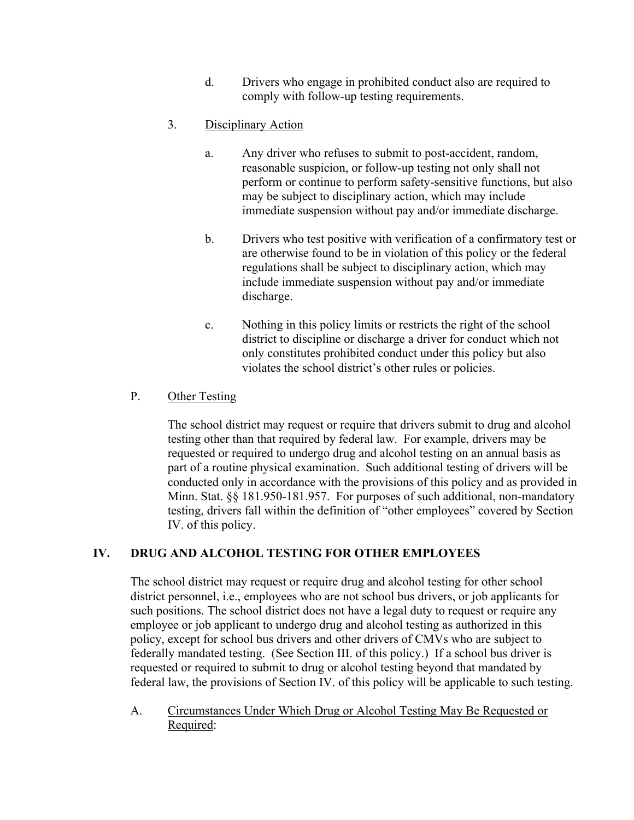d. Drivers who engage in prohibited conduct also are required to comply with follow-up testing requirements.

## 3. Disciplinary Action

- a. Any driver who refuses to submit to post-accident, random, reasonable suspicion, or follow-up testing not only shall not perform or continue to perform safety-sensitive functions, but also may be subject to disciplinary action, which may include immediate suspension without pay and/or immediate discharge.
- b. Drivers who test positive with verification of a confirmatory test or are otherwise found to be in violation of this policy or the federal regulations shall be subject to disciplinary action, which may include immediate suspension without pay and/or immediate discharge.
- c. Nothing in this policy limits or restricts the right of the school district to discipline or discharge a driver for conduct which not only constitutes prohibited conduct under this policy but also violates the school district's other rules or policies.

## P. Other Testing

The school district may request or require that drivers submit to drug and alcohol testing other than that required by federal law. For example, drivers may be requested or required to undergo drug and alcohol testing on an annual basis as part of a routine physical examination. Such additional testing of drivers will be conducted only in accordance with the provisions of this policy and as provided in Minn. Stat. §§ 181.950-181.957. For purposes of such additional, non-mandatory testing, drivers fall within the definition of "other employees" covered by Section IV. of this policy.

#### **IV. DRUG AND ALCOHOL TESTING FOR OTHER EMPLOYEES**

The school district may request or require drug and alcohol testing for other school district personnel, i.e., employees who are not school bus drivers, or job applicants for such positions. The school district does not have a legal duty to request or require any employee or job applicant to undergo drug and alcohol testing as authorized in this policy, except for school bus drivers and other drivers of CMVs who are subject to federally mandated testing. (See Section III. of this policy.) If a school bus driver is requested or required to submit to drug or alcohol testing beyond that mandated by federal law, the provisions of Section IV. of this policy will be applicable to such testing.

A. Circumstances Under Which Drug or Alcohol Testing May Be Requested or Required: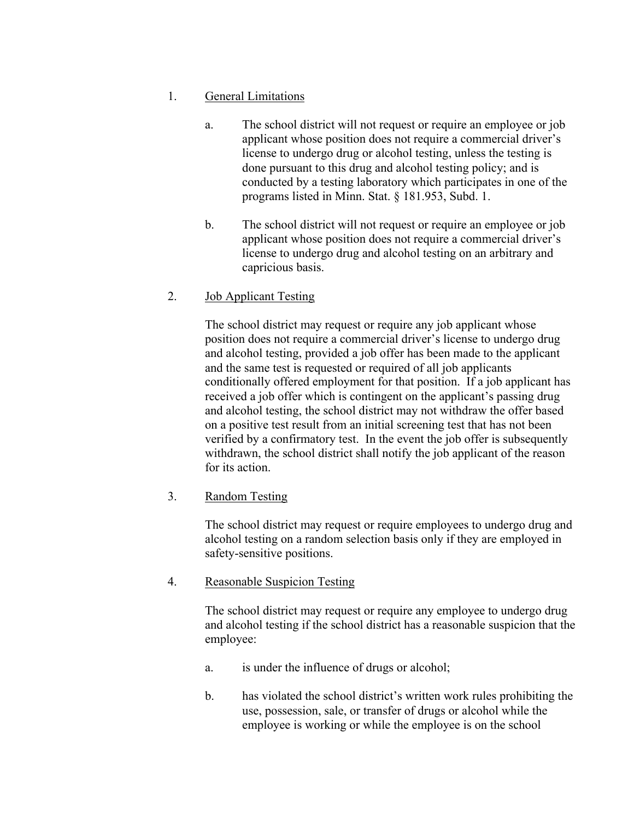#### 1. General Limitations

- a. The school district will not request or require an employee or job applicant whose position does not require a commercial driver's license to undergo drug or alcohol testing, unless the testing is done pursuant to this drug and alcohol testing policy; and is conducted by a testing laboratory which participates in one of the programs listed in Minn. Stat. § 181.953, Subd. 1.
- b. The school district will not request or require an employee or job applicant whose position does not require a commercial driver's license to undergo drug and alcohol testing on an arbitrary and capricious basis.

## 2. Job Applicant Testing

The school district may request or require any job applicant whose position does not require a commercial driver's license to undergo drug and alcohol testing, provided a job offer has been made to the applicant and the same test is requested or required of all job applicants conditionally offered employment for that position. If a job applicant has received a job offer which is contingent on the applicant's passing drug and alcohol testing, the school district may not withdraw the offer based on a positive test result from an initial screening test that has not been verified by a confirmatory test. In the event the job offer is subsequently withdrawn, the school district shall notify the job applicant of the reason for its action.

#### 3. Random Testing

The school district may request or require employees to undergo drug and alcohol testing on a random selection basis only if they are employed in safety-sensitive positions.

#### 4. Reasonable Suspicion Testing

The school district may request or require any employee to undergo drug and alcohol testing if the school district has a reasonable suspicion that the employee:

- a. is under the influence of drugs or alcohol;
- b. has violated the school district's written work rules prohibiting the use, possession, sale, or transfer of drugs or alcohol while the employee is working or while the employee is on the school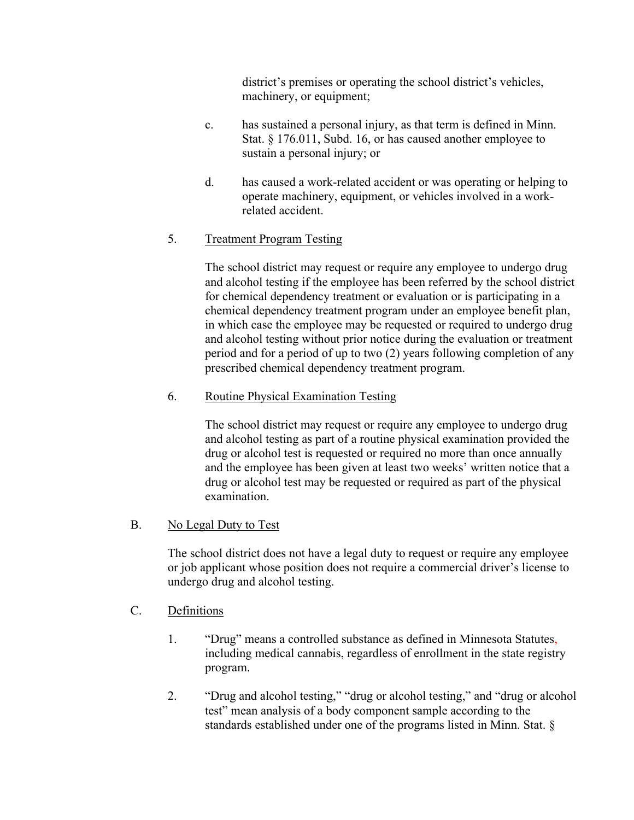district's premises or operating the school district's vehicles, machinery, or equipment;

- c. has sustained a personal injury, as that term is defined in Minn. Stat. § 176.011, Subd. 16, or has caused another employee to sustain a personal injury; or
- d. has caused a work-related accident or was operating or helping to operate machinery, equipment, or vehicles involved in a workrelated accident.

## 5. Treatment Program Testing

The school district may request or require any employee to undergo drug and alcohol testing if the employee has been referred by the school district for chemical dependency treatment or evaluation or is participating in a chemical dependency treatment program under an employee benefit plan, in which case the employee may be requested or required to undergo drug and alcohol testing without prior notice during the evaluation or treatment period and for a period of up to two (2) years following completion of any prescribed chemical dependency treatment program.

## 6. Routine Physical Examination Testing

The school district may request or require any employee to undergo drug and alcohol testing as part of a routine physical examination provided the drug or alcohol test is requested or required no more than once annually and the employee has been given at least two weeks' written notice that a drug or alcohol test may be requested or required as part of the physical examination.

#### B. No Legal Duty to Test

The school district does not have a legal duty to request or require any employee or job applicant whose position does not require a commercial driver's license to undergo drug and alcohol testing.

#### C. Definitions

- 1. "Drug" means a controlled substance as defined in Minnesota Statutes, including medical cannabis, regardless of enrollment in the state registry program.
- 2. "Drug and alcohol testing," "drug or alcohol testing," and "drug or alcohol test" mean analysis of a body component sample according to the standards established under one of the programs listed in Minn. Stat. §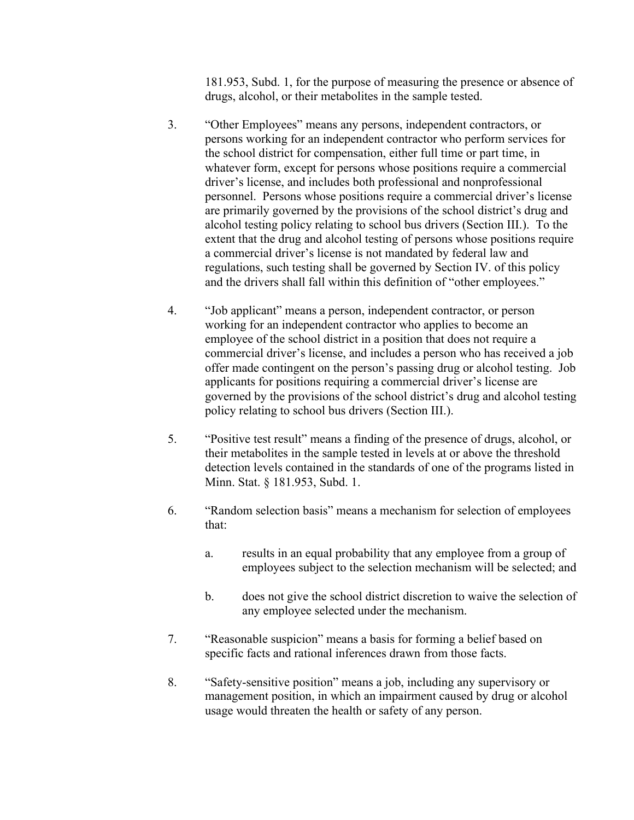181.953, Subd. 1, for the purpose of measuring the presence or absence of drugs, alcohol, or their metabolites in the sample tested.

- 3. "Other Employees" means any persons, independent contractors, or persons working for an independent contractor who perform services for the school district for compensation, either full time or part time, in whatever form, except for persons whose positions require a commercial driver's license, and includes both professional and nonprofessional personnel. Persons whose positions require a commercial driver's license are primarily governed by the provisions of the school district's drug and alcohol testing policy relating to school bus drivers (Section III.). To the extent that the drug and alcohol testing of persons whose positions require a commercial driver's license is not mandated by federal law and regulations, such testing shall be governed by Section IV. of this policy and the drivers shall fall within this definition of "other employees."
- 4. "Job applicant" means a person, independent contractor, or person working for an independent contractor who applies to become an employee of the school district in a position that does not require a commercial driver's license, and includes a person who has received a job offer made contingent on the person's passing drug or alcohol testing. Job applicants for positions requiring a commercial driver's license are governed by the provisions of the school district's drug and alcohol testing policy relating to school bus drivers (Section III.).
- 5. "Positive test result" means a finding of the presence of drugs, alcohol, or their metabolites in the sample tested in levels at or above the threshold detection levels contained in the standards of one of the programs listed in Minn. Stat. § 181.953, Subd. 1.
- 6. "Random selection basis" means a mechanism for selection of employees that:
	- a. results in an equal probability that any employee from a group of employees subject to the selection mechanism will be selected; and
	- b. does not give the school district discretion to waive the selection of any employee selected under the mechanism.
- 7. "Reasonable suspicion" means a basis for forming a belief based on specific facts and rational inferences drawn from those facts.
- 8. "Safety-sensitive position" means a job, including any supervisory or management position, in which an impairment caused by drug or alcohol usage would threaten the health or safety of any person.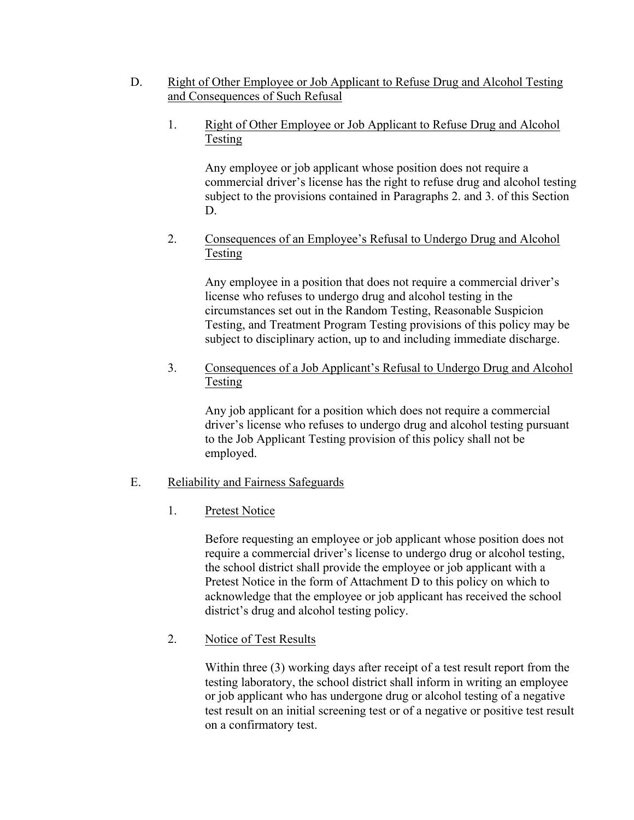- D. Right of Other Employee or Job Applicant to Refuse Drug and Alcohol Testing and Consequences of Such Refusal
	- 1. Right of Other Employee or Job Applicant to Refuse Drug and Alcohol Testing

Any employee or job applicant whose position does not require a commercial driver's license has the right to refuse drug and alcohol testing subject to the provisions contained in Paragraphs 2. and 3. of this Section D.

2. Consequences of an Employee's Refusal to Undergo Drug and Alcohol Testing

Any employee in a position that does not require a commercial driver's license who refuses to undergo drug and alcohol testing in the circumstances set out in the Random Testing, Reasonable Suspicion Testing, and Treatment Program Testing provisions of this policy may be subject to disciplinary action, up to and including immediate discharge.

3. Consequences of a Job Applicant's Refusal to Undergo Drug and Alcohol Testing

Any job applicant for a position which does not require a commercial driver's license who refuses to undergo drug and alcohol testing pursuant to the Job Applicant Testing provision of this policy shall not be employed.

#### E. Reliability and Fairness Safeguards

1. Pretest Notice

Before requesting an employee or job applicant whose position does not require a commercial driver's license to undergo drug or alcohol testing, the school district shall provide the employee or job applicant with a Pretest Notice in the form of Attachment D to this policy on which to acknowledge that the employee or job applicant has received the school district's drug and alcohol testing policy.

2. Notice of Test Results

Within three (3) working days after receipt of a test result report from the testing laboratory, the school district shall inform in writing an employee or job applicant who has undergone drug or alcohol testing of a negative test result on an initial screening test or of a negative or positive test result on a confirmatory test.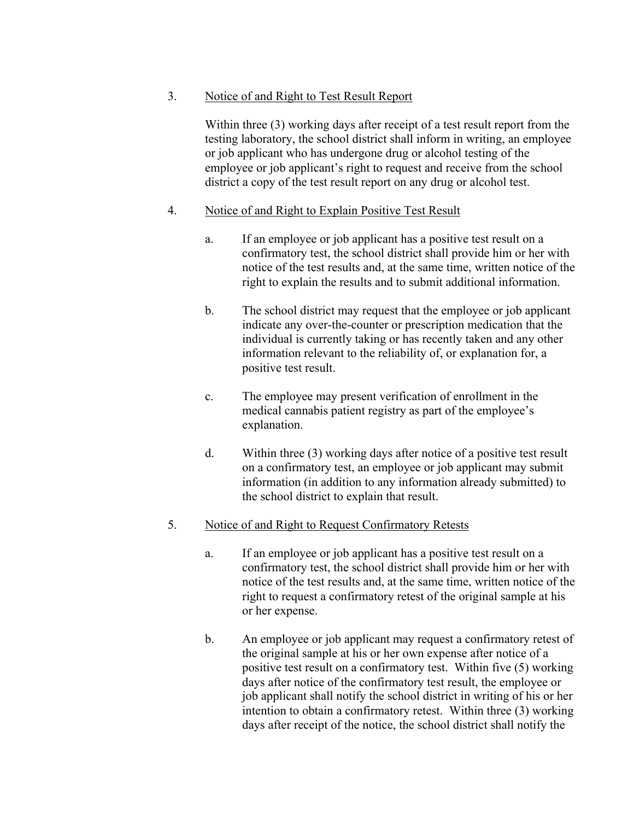### 3. Notice of and Right to Test Result Report

Within three (3) working days after receipt of a test result report from the testing laboratory, the school district shall inform in writing, an employee or job applicant who has undergone drug or alcohol testing of the employee or job applicant's right to request and receive from the school district a copy of the test result report on any drug or alcohol test.

## 4. Notice of and Right to Explain Positive Test Result

- a. If an employee or job applicant has a positive test result on a confirmatory test, the school district shall provide him or her with notice of the test results and, at the same time, written notice of the right to explain the results and to submit additional information.
- b. The school district may request that the employee or job applicant indicate any over-the-counter or prescription medication that the individual is currently taking or has recently taken and any other information relevant to the reliability of, or explanation for, a positive test result.
- c. The employee may present verification of enrollment in the medical cannabis patient registry as part of the employee's explanation.
- d. Within three (3) working days after notice of a positive test result on a confirmatory test, an employee or job applicant may submit information (in addition to any information already submitted) to the school district to explain that result.

## 5. Notice of and Right to Request Confirmatory Retests

- a. If an employee or job applicant has a positive test result on a confirmatory test, the school district shall provide him or her with notice of the test results and, at the same time, written notice of the right to request a confirmatory retest of the original sample at his or her expense.
- b. An employee or job applicant may request a confirmatory retest of the original sample at his or her own expense after notice of a positive test result on a confirmatory test. Within five (5) working days after notice of the confirmatory test result, the employee or job applicant shall notify the school district in writing of his or her intention to obtain a confirmatory retest. Within three (3) working days after receipt of the notice, the school district shall notify the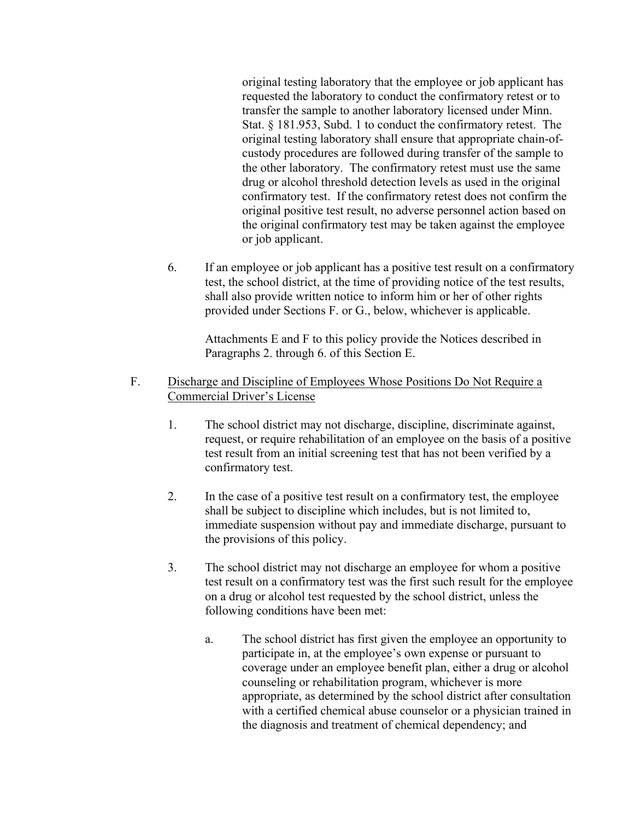original testing laboratory that the employee or job applicant has requested the laboratory to conduct the confirmatory retest or to transfer the sample to another laboratory licensed under Minn. Stat. § 181.953, Subd. 1 to conduct the confirmatory retest. The original testing laboratory shall ensure that appropriate chain-ofcustody procedures are followed during transfer of the sample to the other laboratory. The confirmatory retest must use the same drug or alcohol threshold detection levels as used in the original confirmatory test. If the confirmatory retest does not confirm the original positive test result, no adverse personnel action based on the original confirmatory test may be taken against the employee or job applicant.

6. If an employee or job applicant has a positive test result on a confirmatory test, the school district, at the time of providing notice of the test results, shall also provide written notice to inform him or her of other rights provided under Sections F. or G., below, whichever is applicable.

Attachments E and F to this policy provide the Notices described in Paragraphs 2. through 6. of this Section E.

- F. Discharge and Discipline of Employees Whose Positions Do Not Require a Commercial Driver's License
	- 1. The school district may not discharge, discipline, discriminate against, request, or require rehabilitation of an employee on the basis of a positive test result from an initial screening test that has not been verified by a confirmatory test.
	- 2. In the case of a positive test result on a confirmatory test, the employee shall be subject to discipline which includes, but is not limited to, immediate suspension without pay and immediate discharge, pursuant to the provisions of this policy.
	- 3. The school district may not discharge an employee for whom a positive test result on a confirmatory test was the first such result for the employee on a drug or alcohol test requested by the school district, unless the following conditions have been met:
		- a. The school district has first given the employee an opportunity to participate in, at the employee's own expense or pursuant to coverage under an employee benefit plan, either a drug or alcohol counseling or rehabilitation program, whichever is more appropriate, as determined by the school district after consultation with a certified chemical abuse counselor or a physician trained in the diagnosis and treatment of chemical dependency; and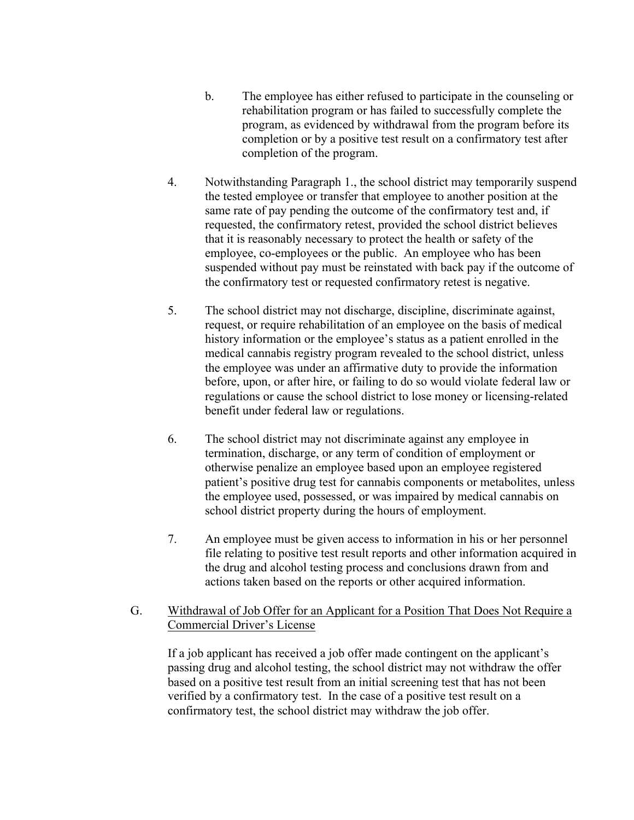- b. The employee has either refused to participate in the counseling or rehabilitation program or has failed to successfully complete the program, as evidenced by withdrawal from the program before its completion or by a positive test result on a confirmatory test after completion of the program.
- 4. Notwithstanding Paragraph 1., the school district may temporarily suspend the tested employee or transfer that employee to another position at the same rate of pay pending the outcome of the confirmatory test and, if requested, the confirmatory retest, provided the school district believes that it is reasonably necessary to protect the health or safety of the employee, co-employees or the public. An employee who has been suspended without pay must be reinstated with back pay if the outcome of the confirmatory test or requested confirmatory retest is negative.
- 5. The school district may not discharge, discipline, discriminate against, request, or require rehabilitation of an employee on the basis of medical history information or the employee's status as a patient enrolled in the medical cannabis registry program revealed to the school district, unless the employee was under an affirmative duty to provide the information before, upon, or after hire, or failing to do so would violate federal law or regulations or cause the school district to lose money or licensing-related benefit under federal law or regulations.
- 6. The school district may not discriminate against any employee in termination, discharge, or any term of condition of employment or otherwise penalize an employee based upon an employee registered patient's positive drug test for cannabis components or metabolites, unless the employee used, possessed, or was impaired by medical cannabis on school district property during the hours of employment.
- 7. An employee must be given access to information in his or her personnel file relating to positive test result reports and other information acquired in the drug and alcohol testing process and conclusions drawn from and actions taken based on the reports or other acquired information.

#### G. Withdrawal of Job Offer for an Applicant for a Position That Does Not Require a Commercial Driver's License

If a job applicant has received a job offer made contingent on the applicant's passing drug and alcohol testing, the school district may not withdraw the offer based on a positive test result from an initial screening test that has not been verified by a confirmatory test. In the case of a positive test result on a confirmatory test, the school district may withdraw the job offer.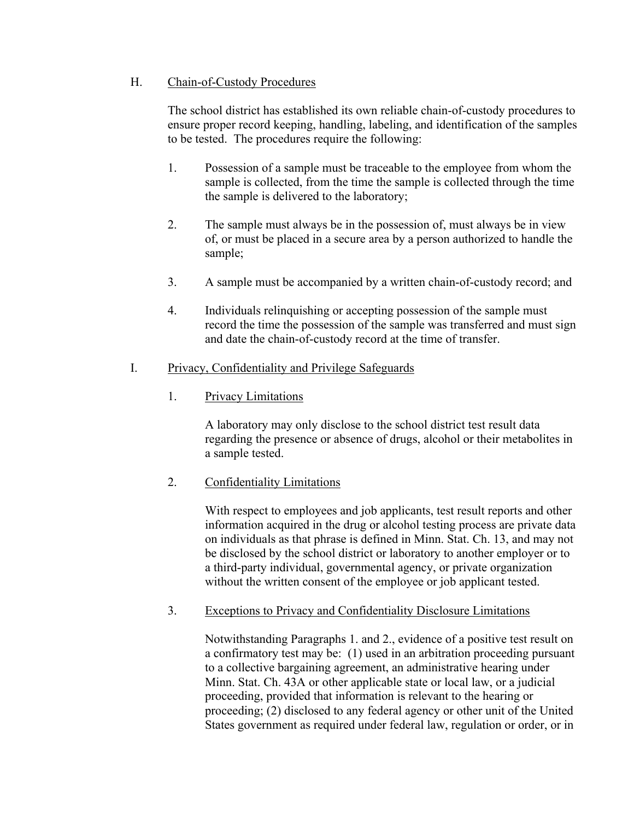### H. Chain-of-Custody Procedures

The school district has established its own reliable chain-of-custody procedures to ensure proper record keeping, handling, labeling, and identification of the samples to be tested. The procedures require the following:

- 1. Possession of a sample must be traceable to the employee from whom the sample is collected, from the time the sample is collected through the time the sample is delivered to the laboratory;
- 2. The sample must always be in the possession of, must always be in view of, or must be placed in a secure area by a person authorized to handle the sample;
- 3. A sample must be accompanied by a written chain-of-custody record; and
- 4. Individuals relinquishing or accepting possession of the sample must record the time the possession of the sample was transferred and must sign and date the chain-of-custody record at the time of transfer.

#### I. Privacy, Confidentiality and Privilege Safeguards

1. Privacy Limitations

A laboratory may only disclose to the school district test result data regarding the presence or absence of drugs, alcohol or their metabolites in a sample tested.

## 2. Confidentiality Limitations

With respect to employees and job applicants, test result reports and other information acquired in the drug or alcohol testing process are private data on individuals as that phrase is defined in Minn. Stat. Ch. 13, and may not be disclosed by the school district or laboratory to another employer or to a third-party individual, governmental agency, or private organization without the written consent of the employee or job applicant tested.

#### 3. Exceptions to Privacy and Confidentiality Disclosure Limitations

Notwithstanding Paragraphs 1. and 2., evidence of a positive test result on a confirmatory test may be: (1) used in an arbitration proceeding pursuant to a collective bargaining agreement, an administrative hearing under Minn. Stat. Ch. 43A or other applicable state or local law, or a judicial proceeding, provided that information is relevant to the hearing or proceeding; (2) disclosed to any federal agency or other unit of the United States government as required under federal law, regulation or order, or in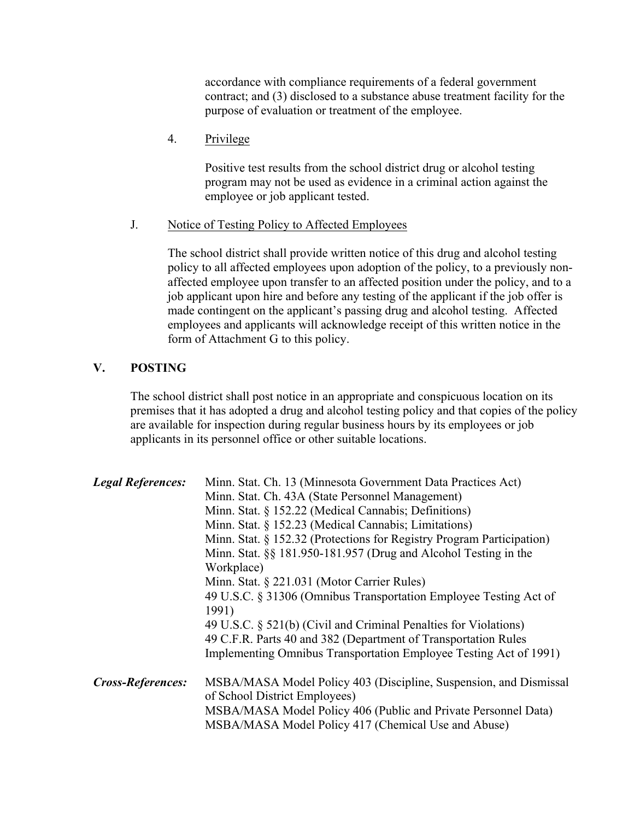accordance with compliance requirements of a federal government contract; and (3) disclosed to a substance abuse treatment facility for the purpose of evaluation or treatment of the employee.

4. Privilege

Positive test results from the school district drug or alcohol testing program may not be used as evidence in a criminal action against the employee or job applicant tested.

#### J. Notice of Testing Policy to Affected Employees

The school district shall provide written notice of this drug and alcohol testing policy to all affected employees upon adoption of the policy, to a previously nonaffected employee upon transfer to an affected position under the policy, and to a job applicant upon hire and before any testing of the applicant if the job offer is made contingent on the applicant's passing drug and alcohol testing. Affected employees and applicants will acknowledge receipt of this written notice in the form of Attachment G to this policy.

## **V. POSTING**

The school district shall post notice in an appropriate and conspicuous location on its premises that it has adopted a drug and alcohol testing policy and that copies of the policy are available for inspection during regular business hours by its employees or job applicants in its personnel office or other suitable locations.

| <b>Legal References:</b>                         | Minn. Stat. Ch. 13 (Minnesota Government Data Practices Act)                                                          |  |
|--------------------------------------------------|-----------------------------------------------------------------------------------------------------------------------|--|
| Minn. Stat. Ch. 43A (State Personnel Management) |                                                                                                                       |  |
|                                                  | Minn. Stat. § 152.22 (Medical Cannabis; Definitions)                                                                  |  |
|                                                  | Minn. Stat. § 152.23 (Medical Cannabis; Limitations)                                                                  |  |
|                                                  | Minn. Stat. § 152.32 (Protections for Registry Program Participation)                                                 |  |
|                                                  | Minn. Stat. $\S$ 181.950-181.957 (Drug and Alcohol Testing in the                                                     |  |
|                                                  | Workplace)                                                                                                            |  |
|                                                  | Minn. Stat. § 221.031 (Motor Carrier Rules)                                                                           |  |
|                                                  | 49 U.S.C. § 31306 (Omnibus Transportation Employee Testing Act of                                                     |  |
|                                                  | 1991)                                                                                                                 |  |
|                                                  | 49 U.S.C. § 521(b) (Civil and Criminal Penalties for Violations)                                                      |  |
|                                                  | 49 C.F.R. Parts 40 and 382 (Department of Transportation Rules                                                        |  |
|                                                  | Implementing Omnibus Transportation Employee Testing Act of 1991)                                                     |  |
| <b>Cross-References:</b>                         | MSBA/MASA Model Policy 403 (Discipline, Suspension, and Dismissal<br>of School District Employees)                    |  |
|                                                  | MSBA/MASA Model Policy 406 (Public and Private Personnel Data)<br>MSBA/MASA Model Policy 417 (Chemical Use and Abuse) |  |